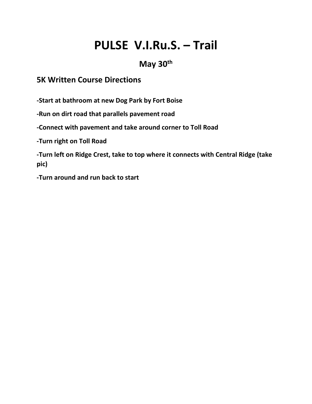# **PULSE V.I.Ru.S. – Trail**

## **May 30th**

### **5K Written Course Directions**

**-Start at bathroom at new Dog Park by Fort Boise**

**-Run on dirt road that parallels pavement road**

**-Connect with pavement and take around corner to Toll Road**

**-Turn right on Toll Road**

**-Turn left on Ridge Crest, take to top where it connects with Central Ridge (take pic)**

**-Turn around and run back to start**